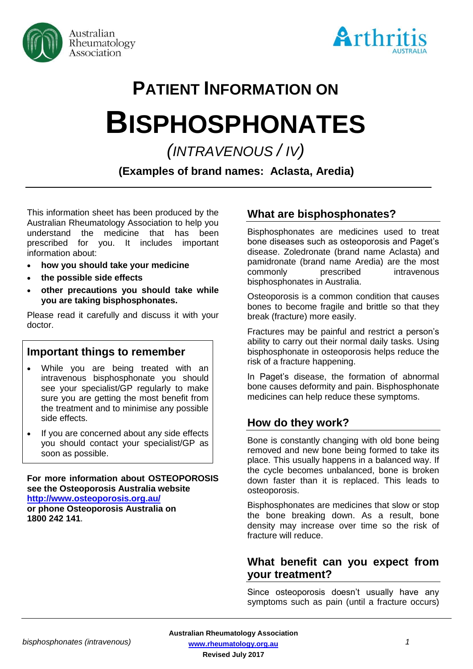



# **PATIENT INFORMATION ON**

# **BISPHOSPHONATES**

*(INTRAVENOUS / IV)*

**(Examples of brand names: Aclasta, Aredia)**

This information sheet has been produced by the Australian Rheumatology Association to help you understand the medicine that has been prescribed for you. It includes important information about:

- **how you should take your medicine**
- **the possible side effects**
- **other precautions you should take while you are taking bisphosphonates.**

Please read it carefully and discuss it with your doctor.

# **Important things to remember**

- While you are being treated with an intravenous bisphosphonate you should see your specialist/GP regularly to make sure you are getting the most benefit from the treatment and to minimise any possible side effects.
- If you are concerned about any side effects you should contact your specialist/GP as soon as possible.

**For more information about OSTEOPOROSIS see the Osteoporosis Australia website <http://www.osteoporosis.org.au/> or phone Osteoporosis Australia on 1800 242 141**.

# **What are bisphosphonates?**

Bisphosphonates are medicines used to treat bone diseases such as osteoporosis and Paget's disease. Zoledronate (brand name Aclasta) and pamidronate (brand name Aredia) are the most commonly prescribed intravenous bisphosphonates in Australia.

Osteoporosis is a common condition that causes bones to become fragile and brittle so that they break (fracture) more easily.

Fractures may be painful and restrict a person's ability to carry out their normal daily tasks. Using bisphosphonate in osteoporosis helps reduce the risk of a fracture happening.

In Paget's disease, the formation of abnormal bone causes deformity and pain. Bisphosphonate medicines can help reduce these symptoms.

### **How do they work?**

Bone is constantly changing with old bone being removed and new bone being formed to take its place. This usually happens in a balanced way. If the cycle becomes unbalanced, bone is broken down faster than it is replaced. This leads to osteoporosis.

Bisphosphonates are medicines that slow or stop the bone breaking down. As a result, bone density may increase over time so the risk of fracture will reduce.

## **What benefit can you expect from your treatment?**

Since osteoporosis doesn't usually have any symptoms such as pain (until a fracture occurs)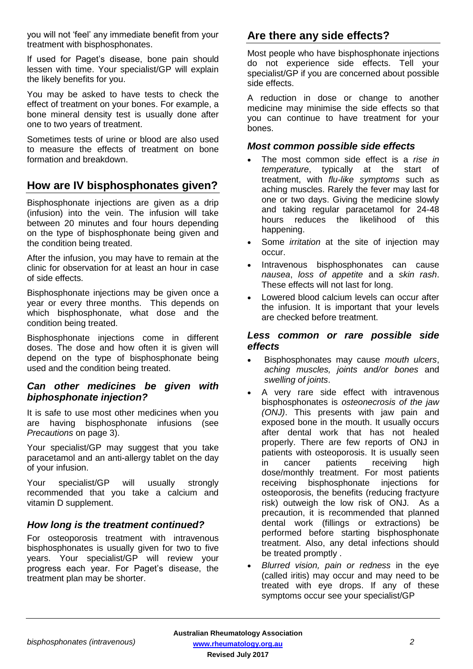you will not 'feel' any immediate benefit from your treatment with bisphosphonates.

If used for Paget's disease, bone pain should lessen with time. Your specialist/GP will explain the likely benefits for you.

You may be asked to have tests to check the effect of treatment on your bones. For example, a bone mineral density test is usually done after one to two years of treatment.

Sometimes tests of urine or blood are also used to measure the effects of treatment on bone formation and breakdown.

# **How are IV bisphosphonates given?**

Bisphosphonate injections are given as a drip (infusion) into the vein. The infusion will take between 20 minutes and four hours depending on the type of bisphosphonate being given and the condition being treated.

After the infusion, you may have to remain at the clinic for observation for at least an hour in case of side effects.

Bisphosphonate injections may be given once a year or every three months. This depends on which bisphosphonate, what dose and the condition being treated.

Bisphosphonate injections come in different doses. The dose and how often it is given will depend on the type of bisphosphonate being used and the condition being treated.

#### *Can other medicines be given with biphosphonate injection?*

It is safe to use most other medicines when you are having bisphosphonate infusions (see *Precautions* on page 3).

Your specialist/GP may suggest that you take paracetamol and an anti-allergy tablet on the day of your infusion.

Your specialist/GP will usually strongly recommended that you take a calcium and vitamin D supplement.

#### *How long is the treatment continued?*

For osteoporosis treatment with intravenous bisphosphonates is usually given for two to five years. Your specialist/GP will review your progress each year. For Paget's disease, the treatment plan may be shorter.

# **Are there any side effects?**

Most people who have bisphosphonate injections do not experience side effects. Tell your specialist/GP if you are concerned about possible side effects.

A reduction in dose or change to another medicine may minimise the side effects so that you can continue to have treatment for your bones.

#### *Most common possible side effects*

- The most common side effect is a *rise in temperature*, typically at the start of treatment, with *flu-like symptoms* such as aching muscles. Rarely the fever may last for one or two days. Giving the medicine slowly and taking regular paracetamol for 24-48 hours reduces the likelihood of this happening.
- Some *irritation* at the site of injection may occur.
- Intravenous bisphosphonates can cause *nausea*, *loss of appetite* and a *skin rash*. These effects will not last for long.
- Lowered blood calcium levels can occur after the infusion. It is important that your levels are checked before treatment.

#### *Less common or rare possible side effects*

- Bisphosphonates may cause *mouth ulcers*, *aching muscles, joints and/or bones* and *swelling of joints*.
- A very rare side effect with intravenous bisphosphonates is *osteonecrosis of the jaw (ONJ)*. This presents with jaw pain and exposed bone in the mouth. It usually occurs after dental work that has not healed properly. There are few reports of ONJ in patients with osteoporosis. It is usually seen in cancer patients receiving high dose/monthly treatment. For most patients receiving bisphosphonate injections for osteoporosis, the benefits (reducing fractyure risk) outweigh the low risk of ONJ. As a precaution, it is recommended that planned dental work (fillings or extractions) be performed before starting bisphosphonate treatment. Also, any detal infections should be treated promptly .
- *Blurred vision, pain or redness* in the eye (called iritis) may occur and may need to be treated with eye drops. If any of these symptoms occur see your specialist/GP